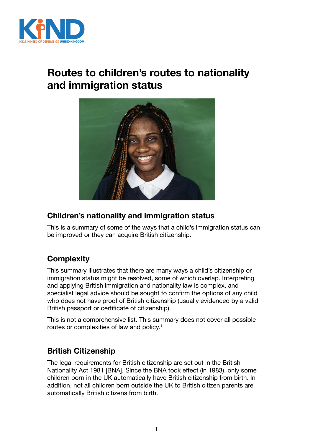

# **Routes to children's routes to nationality and immigration status**



# **Children's nationality and immigration status**

This is a summary of some of the ways that a child's immigration status can be improved or they can acquire British citizenship.

# **Complexity**

This summary illustrates that there are many ways a child's citizenship or immigration status might be resolved, some of which overlap. Interpreting and applying British immigration and nationality law is complex, and specialist legal advice should be sought to confirm the options of any child who does not have proof of British citizenship (usually evidenced by a valid British passport or certificate of citizenship).

This is not a comprehensive list. This summary does not cover all possible routes or complexities of law and policy.<sup>1</sup>

# **British Citizenship**

The legal requirements for British citizenship are set out in the British Nationality Act 1981 [BNA]. Since the BNA took effect (in 1983), only some children born in the UK automatically have British citizenship from birth. In addition, not all children born outside the UK to British citizen parents are automatically British citizens from birth.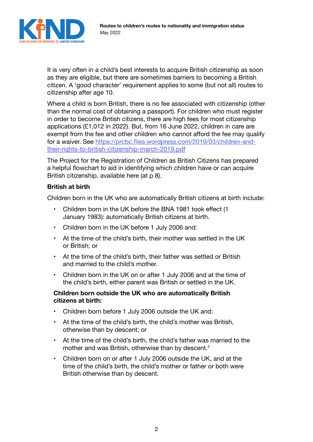

It is very often in a child's best interests to acquire British citizenship as soon as they are eligible, but there are sometimes barriers to becoming a British citizen. A 'good character' requirement applies to some (but not all) routes to citizenship after age 10.

Where a child is born British, there is no fee associated with citizenship (other than the normal cost of obtaining a passport). For children who must register in order to become British citizens, there are high fees for most citizenship applications (£1,012 in 2022). But, from 16 June 2022, children in care are exempt from the fee and other children who cannot afford the fee may qualify for a waiver. See [https://prcbc.files.wordpress.com/2019/03/children-and](https://prcbc.files.wordpress.com/2019/03/children-and-their-rights-to-british-citizenship-march-2019.pdf)[their-rights-to-british-citizenship-march-2019.pdf](https://prcbc.files.wordpress.com/2019/03/children-and-their-rights-to-british-citizenship-march-2019.pdf)

The Project for the Registration of Children as British Citizens has prepared a helpful flowchart to aid in identifying which children have or can acquire British citizenship, available here (at p 8).

### **British at birth**

Children born in the UK who are automatically British citizens at birth include:

- Children born in the UK before the BNA 1981 took effect (1 January 1983): automatically British citizens at birth.
- Children born in the UK before 1 July 2006 and:
- At the time of the child's birth, their mother was settled in the UK or British; or
- At the time of the child's birth, their father was settled or British and married to the child's mother.
- Children born in the UK on or after 1 July 2006 and at the time of the child's birth, either parent was British or settled in the UK.

### **Children born outside the UK who are automatically British citizens at birth:**

- Children born before 1 July 2006 outside the UK and:
- At the time of the child's birth, the child's mother was British, otherwise than by descent; or
- At the time of the child's birth, the child's father was married to the mother and was British, otherwise than by descent.<sup>2</sup>
- Children born on or after 1 July 2006 outside the UK, and at the time of the child's birth, the child's mother or father or both were British otherwise than by descent.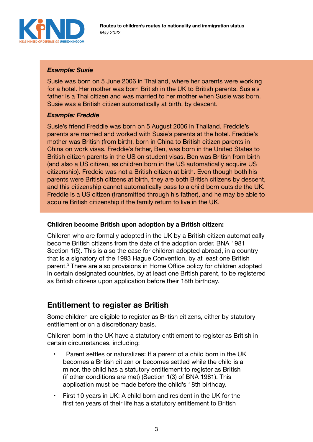

### *Example: Susie*

Susie was born on 5 June 2006 in Thailand, where her parents were working for a hotel. Her mother was born British in the UK to British parents. Susie's father is a Thai citizen and was married to her mother when Susie was born. Susie was a British citizen automatically at birth, by descent.

### *Example: Freddie*

Susie's friend Freddie was born on 5 August 2006 in Thailand. Freddie's parents are married and worked with Susie's parents at the hotel. Freddie's mother was British (from birth), born in China to British citizen parents in China on work visas. Freddie's father, Ben, was born in the United States to British citizen parents in the US on student visas. Ben was British from birth (and also a US citizen, as children born in the US automatically acquire US citizenship). Freddie was not a British citizen at birth. Even though both his parents were British citizens at birth, they are both British citizens by descent, and this citizenship cannot automatically pass to a child born outside the UK. Freddie is a US citizen (transmitted through his father), and he may be able to acquire British citizenship if the family return to live in the UK.

### **Children become British upon adoption by a British citizen:**

Children who are formally adopted in the UK by a British citizen automatically become British citizens from the date of the adoption order. BNA 1981 Section 1(5). This is also the case for children adopted abroad, in a country that is a signatory of the 1993 Hague Convention, by at least one British parent.<sup>3</sup> There are also provisions in Home Office policy for children adopted in certain designated countries, by at least one British parent, to be registered as British citizens upon application before their 18th birthday.

# **Entitlement to register as British**

Some children are eligible to register as British citizens, either by statutory entitlement or on a discretionary basis.

Children born in the UK have a statutory entitlement to register as British in certain circumstances, including:

- Parent settles or naturalizes: If a parent of a child born in the UK becomes a British citizen or becomes settled while the child is a minor, the child has a statutory entitlement to register as British (if other conditions are met) (Section 1(3) of BNA 1981). This application must be made before the child's 18th birthday.
- First 10 years in UK: A child born and resident in the UK for the first ten years of their life has a statutory entitlement to British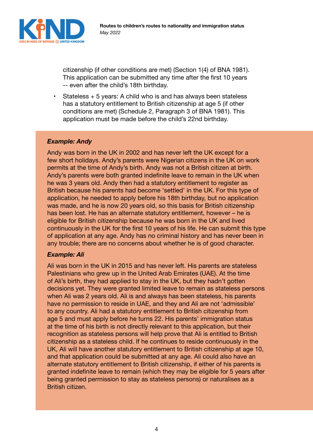

citizenship (if other conditions are met) (Section 1(4) of BNA 1981). This application can be submitted any time after the first 10 years -- even after the child's 18th birthday.

• Stateless + 5 years: A child who is and has always been stateless has a statutory entitlement to British citizenship at age 5 (if other conditions are met) (Schedule 2, Paragraph 3 of BNA 1981). This application must be made before the child's 22nd birthday.

#### *Example: Andy*

Andy was born in the UK in 2002 and has never left the UK except for a few short holidays. Andy's parents were Nigerian citizens in the UK on work permits at the time of Andy's birth. Andy was not a British citizen at birth. Andy's parents were both granted indefinite leave to remain in the UK when he was 3 years old. Andy then had a statutory entitlement to register as British because his parents had become 'settled' in the UK. For this type of application, he needed to apply before his 18th birthday, but no application was made, and he is now 20 years old, so this basis for British citizenship has been lost. He has an alternate statutory entitlement, however – he is eligible for British citizenship because he was born in the UK and lived continuously in the UK for the first 10 years of his life. He can submit this type of application at any age. Andy has no criminal history and has never been in any trouble; there are no concerns about whether he is of good character.

#### *Example: Ali*

Ali was born in the UK in 2015 and has never left. His parents are stateless Palestinians who grew up in the United Arab Emirates (UAE). At the time of Ali's birth, they had applied to stay in the UK, but they hadn't gotten decisions yet. They were granted limited leave to remain as stateless persons when Ali was 2 years old. Ali is and always has been stateless, his parents have no permission to reside in UAE, and they and Ali are not 'admissible' to any country. Ali had a statutory entitlement to British citizenship from age 5 and must apply before he turns 22. His parents' immigration status at the time of his birth is not directly relevant to this application, but their recognition as stateless persons will help prove that Ali is entitled to British citizenship as a stateless child. If he continues to reside continuously in the UK, Ali will have another statutory entitlement to British citizenship at age 10, and that application could be submitted at any age. Ali could also have an alternate statutory entitlement to British citizenship, if either of his parents is granted indefinite leave to remain (which they may be eligible for 5 years after being granted permission to stay as stateless persons) or naturalises as a British citizen.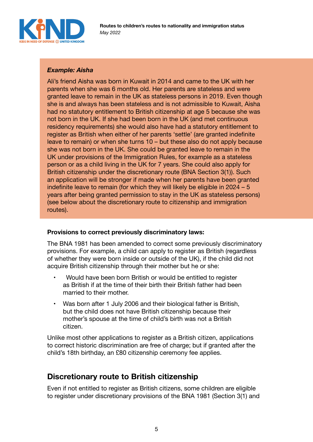

## *Example: Aisha*

Ali's friend Aisha was born in Kuwait in 2014 and came to the UK with her parents when she was 6 months old. Her parents are stateless and were granted leave to remain in the UK as stateless persons in 2019. Even though she is and always has been stateless and is not admissible to Kuwait, Aisha had no statutory entitlement to British citizenship at age 5 because she was not born in the UK. If she had been born in the UK (and met continuous residency requirements) she would also have had a statutory entitlement to register as British when either of her parents 'settle' (are granted indefinite leave to remain) or when she turns 10 – but these also do not apply because she was not born in the UK. She could be granted leave to remain in the UK under provisions of the Immigration Rules, for example as a stateless person or as a child living in the UK for 7 years. She could also apply for British citizenship under the discretionary route (BNA Section 3(1)). Such an application will be stronger if made when her parents have been granted indefinite leave to remain (for which they will likely be eligible in 2024 – 5 years after being granted permission to stay in the UK as stateless persons) (see below about the discretionary route to citizenship and immigration routes).

### **Provisions to correct previously discriminatory laws:**

The BNA 1981 has been amended to correct some previously discriminatory provisions. For example, a child can apply to register as British (regardless of whether they were born inside or outside of the UK), if the child did not acquire British citizenship through their mother but he or she:

- Would have been born British or would be entitled to register as British if at the time of their birth their British father had been married to their mother.
- Was born after 1 July 2006 and their biological father is British, but the child does not have British citizenship because their mother's spouse at the time of child's birth was not a British citizen.

Unlike most other applications to register as a British citizen, applications to correct historic discrimination are free of charge; but if granted after the child's 18th birthday, an £80 citizenship ceremony fee applies.

# **Discretionary route to British citizenship**

Even if not entitled to register as British citizens, some children are eligible to register under discretionary provisions of the BNA 1981 (Section 3(1) and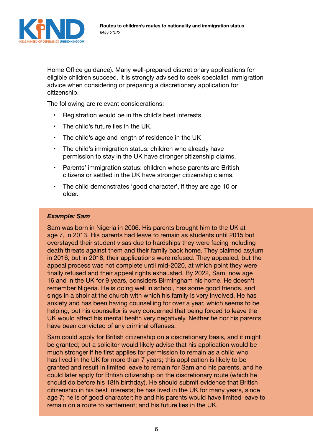

Home Office guidance). Many well-prepared discretionary applications for eligible children succeed. It is strongly advised to seek specialist immigration advice when considering or preparing a discretionary application for citizenship.

The following are relevant considerations:

- Registration would be in the child's best interests.
- The child's future lies in the UK.
- The child's age and length of residence in the UK
- The child's immigration status: children who already have permission to stay in the UK have stronger citizenship claims.
- Parents' immigration status: children whose parents are British citizens or settled in the UK have stronger citizenship claims.
- The child demonstrates 'good character', if they are age 10 or older.

#### *Example: Sam*

Sam was born in Nigeria in 2006. His parents brought him to the UK at age 7, in 2013. His parents had leave to remain as students until 2015 but overstayed their student visas due to hardships they were facing including death threats against them and their family back home. They claimed asylum in 2016, but in 2018, their applications were refused. They appealed, but the appeal process was not complete until mid-2020, at which point they were finally refused and their appeal rights exhausted. By 2022, Sam, now age 16 and in the UK for 9 years, considers Birmingham his home. He doesn't remember Nigeria. He is doing well in school, has some good friends, and sings in a choir at the church with which his family is very involved. He has anxiety and has been having counselling for over a year, which seems to be helping, but his counsellor is very concerned that being forced to leave the UK would affect his mental health very negatively. Neither he nor his parents have been convicted of any criminal offenses.

Sam could apply for British citizenship on a discretionary basis, and it might be granted; but a solicitor would likely advise that his application would be much stronger if he first applies for permission to remain as a child who has lived in the UK for more than 7 years; this application is likely to be granted and result in limited leave to remain for Sam and his parents, and he could later apply for British citizenship on the discretionary route (which he should do before his 18th birthday). He should submit evidence that British citizenship in his best interests; he has lived in the UK for many years, since age 7; he is of good character; he and his parents would have limited leave to remain on a route to settlement; and his future lies in the UK.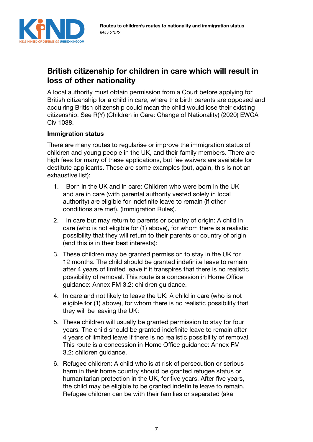

# **British citizenship for children in care which will result in loss of other nationality**

A local authority must obtain permission from a Court before applying for British citizenship for a child in care, where the birth parents are opposed and acquiring British citizenship could mean the child would lose their existing citizenship. See R(Y) (Children in Care: Change of Nationality) (2020) EWCA Civ 1038.

### **Immigration status**

There are many routes to regularise or improve the immigration status of children and young people in the UK, and their family members. There are high fees for many of these applications, but fee waivers are available for destitute applicants. These are some examples (but, again, this is not an exhaustive list):

- 1. Born in the UK and in care: Children who were born in the UK and are in care (with parental authority vested solely in local authority) are eligible for indefinite leave to remain (if other conditions are met). (Immigration Rules).
- 2. In care but may return to parents or country of origin: A child in care (who is not eligible for (1) above), for whom there is a realistic possibility that they will return to their parents or country of origin (and this is in their best interests):
- 3. These children may be granted permission to stay in the UK for 12 months. The child should be granted indefinite leave to remain after 4 years of limited leave if it transpires that there is no realistic possibility of removal. This route is a concession in Home Office guidance: Annex FM 3.2: children guidance.
- 4. In care and not likely to leave the UK: A child in care (who is not eligible for (1) above), for whom there is no realistic possibility that they will be leaving the UK:
- 5. These children will usually be granted permission to stay for four years. The child should be granted indefinite leave to remain after 4 years of limited leave if there is no realistic possibility of removal. This route is a concession in Home Office guidance: Annex FM 3.2: children guidance.
- 6. Refugee children: A child who is at risk of persecution or serious harm in their home country should be granted refugee status or humanitarian protection in the UK, for five years. After five years, the child may be eligible to be granted indefinite leave to remain. Refugee children can be with their families or separated (aka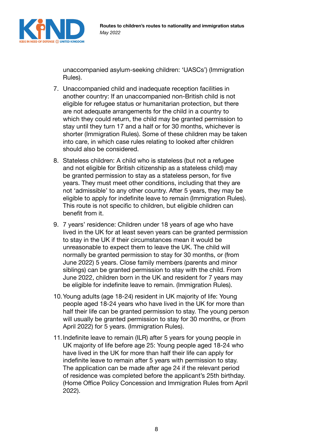

unaccompanied asylum-seeking children: 'UASCs') (Immigration Rules).

- 7. Unaccompanied child and inadequate reception facilities in another country: If an unaccompanied non-British child is not eligible for refugee status or humanitarian protection, but there are not adequate arrangements for the child in a country to which they could return, the child may be granted permission to stay until they turn 17 and a half or for 30 months, whichever is shorter (Immigration Rules). Some of these children may be taken into care, in which case rules relating to looked after children should also be considered.
- 8. Stateless children: A child who is stateless (but not a refugee and not eligible for British citizenship as a stateless child) may be granted permission to stay as a stateless person, for five years. They must meet other conditions, including that they are not 'admissible' to any other country. After 5 years, they may be eligible to apply for indefinite leave to remain (Immigration Rules). This route is not specific to children, but eligible children can benefit from it.
- 9. 7 years' residence: Children under 18 years of age who have lived in the UK for at least seven years can be granted permission to stay in the UK if their circumstances mean it would be unreasonable to expect them to leave the UK. The child will normally be granted permission to stay for 30 months, or (from June 2022) 5 years. Close family members (parents and minor siblings) can be granted permission to stay with the child. From June 2022, children born in the UK and resident for 7 years may be eligible for indefinite leave to remain. (Immigration Rules).
- 10.Young adults (age 18-24) resident in UK majority of life: Young people aged 18-24 years who have lived in the UK for more than half their life can be granted permission to stay. The young person will usually be granted permission to stay for 30 months, or (from April 2022) for 5 years. (Immigration Rules).
- 11.Indefinite leave to remain (ILR) after 5 years for young people in UK majority of life before age 25: Young people aged 18-24 who have lived in the UK for more than half their life can apply for indefinite leave to remain after 5 years with permission to stay. The application can be made after age 24 if the relevant period of residence was completed before the applicant's 25th birthday. (Home Office Policy Concession and Immigration Rules from April 2022).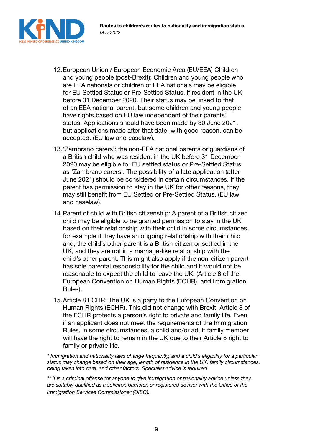

- 12.European Union / European Economic Area (EU/EEA) Children and young people (post-Brexit): Children and young people who are EEA nationals or children of EEA nationals may be eligible for EU Settled Status or Pre-Settled Status, if resident in the UK before 31 December 2020. Their status may be linked to that of an EEA national parent, but some children and young people have rights based on EU law independent of their parents' status. Applications should have been made by 30 June 2021, but applications made after that date, with good reason, can be accepted. (EU law and caselaw).
- 13.'Zambrano carers': the non-EEA national parents or guardians of a British child who was resident in the UK before 31 December 2020 may be eligible for EU settled status or Pre-Settled Status as 'Zambrano carers'. The possibility of a late application (after June 2021) should be considered in certain circumstances. If the parent has permission to stay in the UK for other reasons, they may still benefit from EU Settled or Pre-Settled Status. (EU law and caselaw).
- 14.Parent of child with British citizenship: A parent of a British citizen child may be eligible to be granted permission to stay in the UK based on their relationship with their child in some circumstances, for example if they have an ongoing relationship with their child and, the child's other parent is a British citizen or settled in the UK, and they are not in a marriage-like relationship with the child's other parent. This might also apply if the non-citizen parent has sole parental responsibility for the child and it would not be reasonable to expect the child to leave the UK. (Article 8 of the European Convention on Human Rights (ECHR), and Immigration Rules).
- 15.Article 8 ECHR: The UK is a party to the European Convention on Human Rights (ECHR). This did not change with Brexit. Article 8 of the ECHR protects a person's right to private and family life. Even if an applicant does not meet the requirements of the Immigration Rules, in some circumstances, a child and/or adult family member will have the right to remain in the UK due to their Article 8 right to family or private life.

*\* Immigration and nationality laws change frequently, and a child's eligibility for a particular status may change based on their age, length of residence in the UK, family circumstances, being taken into care, and other factors. Specialist advice is required.* 

*\*\* It is a criminal offense for anyone to give immigration or nationality advice unless they are suitably qualified as a solicitor, barrister, or registered adviser with the Office of the Immigration Services Commissioner (OISC).*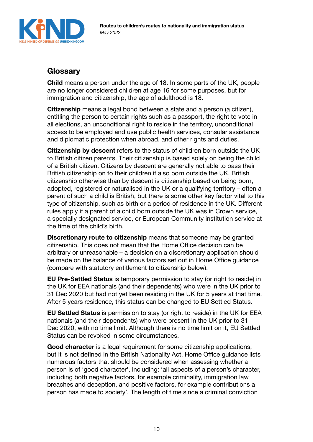

# **Glossary**

**Child** means a person under the age of 18. In some parts of the UK, people are no longer considered children at age 16 for some purposes, but for immigration and citizenship, the age of adulthood is 18.

**Citizenship** means a legal bond between a state and a person (a citizen), entitling the person to certain rights such as a passport, the right to vote in all elections, an unconditional right to reside in the territory, unconditional access to be employed and use public health services, consular assistance and diplomatic protection when abroad, and other rights and duties.

**Citizenship by descent** refers to the status of children born outside the UK to British citizen parents. Their citizenship is based solely on being the child of a British citizen. Citizens by descent are generally not able to pass their British citizenship on to their children if also born outside the UK. British citizenship otherwise than by descent is citizenship based on being born, adopted, registered or naturalised in the UK or a qualifying territory – often a parent of such a child is British, but there is some other key factor vital to this type of citizenship, such as birth or a period of residence in the UK. Different rules apply if a parent of a child born outside the UK was in Crown service, a specially designated service, or European Community institution service at the time of the child's birth.

**Discretionary route to citizenship** means that someone may be granted citizenship. This does not mean that the Home Office decision can be arbitrary or unreasonable – a decision on a discretionary application should be made on the balance of various factors set out in Home Office guidance (compare with statutory entitlement to citizenship below).

**EU Pre-Settled Status** is temporary permission to stay (or right to reside) in the UK for EEA nationals (and their dependents) who were in the UK prior to 31 Dec 2020 but had not yet been residing in the UK for 5 years at that time. After 5 years residence, this status can be changed to EU Settled Status.

**EU Settled Status** is permission to stay (or right to reside) in the UK for EEA nationals (and their dependents) who were present in the UK prior to 31 Dec 2020, with no time limit. Although there is no time limit on it, EU Settled Status can be revoked in some circumstances.

**Good character** is a legal requirement for some citizenship applications, but it is not defined in the British Nationality Act. Home Office guidance lists numerous factors that should be considered when assessing whether a person is of 'good character', including: 'all aspects of a person's character, including both negative factors, for example criminality, immigration law breaches and deception, and positive factors, for example contributions a person has made to society'. The length of time since a criminal conviction